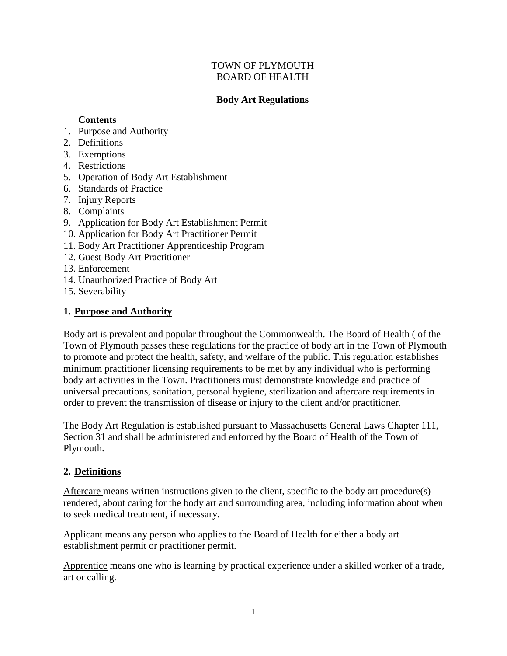## TOWN OF PLYMOUTH BOARD OF HEALTH

## **Body Art Regulations**

#### **Contents**

- 1. Purpose and Authority
- 2. Definitions
- 3. Exemptions
- 4. Restrictions
- 5. Operation of Body Art Establishment
- 6. Standards of Practice
- 7. Injury Reports
- 8. Complaints
- 9. Application for Body Art Establishment Permit
- 10. Application for Body Art Practitioner Permit
- 11. Body Art Practitioner Apprenticeship Program
- 12. Guest Body Art Practitioner
- 13. Enforcement
- 14. Unauthorized Practice of Body Art
- 15. Severability

## **1. Purpose and Authority**

Body art is prevalent and popular throughout the Commonwealth. The Board of Health ( of the Town of Plymouth passes these regulations for the practice of body art in the Town of Plymouth to promote and protect the health, safety, and welfare of the public. This regulation establishes minimum practitioner licensing requirements to be met by any individual who is performing body art activities in the Town. Practitioners must demonstrate knowledge and practice of universal precautions, sanitation, personal hygiene, sterilization and aftercare requirements in order to prevent the transmission of disease or injury to the client and/or practitioner.

The Body Art Regulation is established pursuant to Massachusetts General Laws Chapter 111, Section 31 and shall be administered and enforced by the Board of Health of the Town of Plymouth.

# **2. Definitions**

Aftercare means written instructions given to the client, specific to the body art procedure(s) rendered, about caring for the body art and surrounding area, including information about when to seek medical treatment, if necessary.

Applicant means any person who applies to the Board of Health for either a body art establishment permit or practitioner permit.

Apprentice means one who is learning by practical experience under a skilled worker of a trade, art or calling.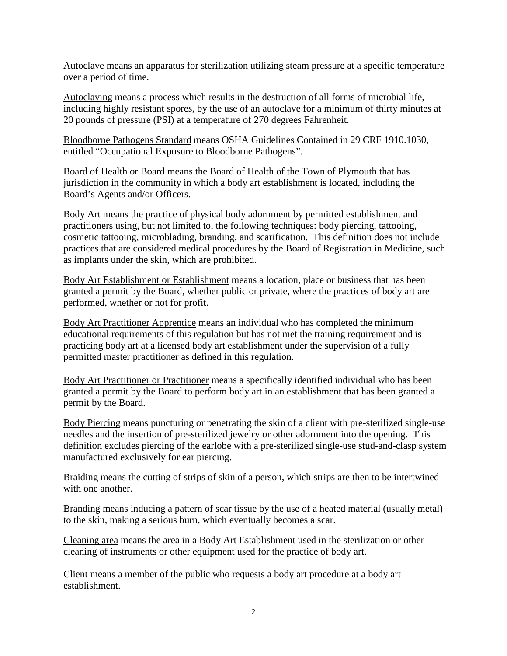Autoclave means an apparatus for sterilization utilizing steam pressure at a specific temperature over a period of time.

Autoclaving means a process which results in the destruction of all forms of microbial life, including highly resistant spores, by the use of an autoclave for a minimum of thirty minutes at 20 pounds of pressure (PSI) at a temperature of 270 degrees Fahrenheit.

Bloodborne Pathogens Standard means OSHA Guidelines Contained in 29 CRF 1910.1030, entitled "Occupational Exposure to Bloodborne Pathogens".

Board of Health or Board means the Board of Health of the Town of Plymouth that has jurisdiction in the community in which a body art establishment is located, including the Board's Agents and/or Officers.

Body Art means the practice of physical body adornment by permitted establishment and practitioners using, but not limited to, the following techniques: body piercing, tattooing, cosmetic tattooing, microblading, branding, and scarification. This definition does not include practices that are considered medical procedures by the Board of Registration in Medicine, such as implants under the skin, which are prohibited.

Body Art Establishment or Establishment means a location, place or business that has been granted a permit by the Board, whether public or private, where the practices of body art are performed, whether or not for profit.

Body Art Practitioner Apprentice means an individual who has completed the minimum educational requirements of this regulation but has not met the training requirement and is practicing body art at a licensed body art establishment under the supervision of a fully permitted master practitioner as defined in this regulation.

Body Art Practitioner or Practitioner means a specifically identified individual who has been granted a permit by the Board to perform body art in an establishment that has been granted a permit by the Board.

Body Piercing means puncturing or penetrating the skin of a client with pre-sterilized single-use needles and the insertion of pre-sterilized jewelry or other adornment into the opening. This definition excludes piercing of the earlobe with a pre-sterilized single-use stud-and-clasp system manufactured exclusively for ear piercing.

Braiding means the cutting of strips of skin of a person, which strips are then to be intertwined with one another.

Branding means inducing a pattern of scar tissue by the use of a heated material (usually metal) to the skin, making a serious burn, which eventually becomes a scar.

Cleaning area means the area in a Body Art Establishment used in the sterilization or other cleaning of instruments or other equipment used for the practice of body art.

Client means a member of the public who requests a body art procedure at a body art establishment.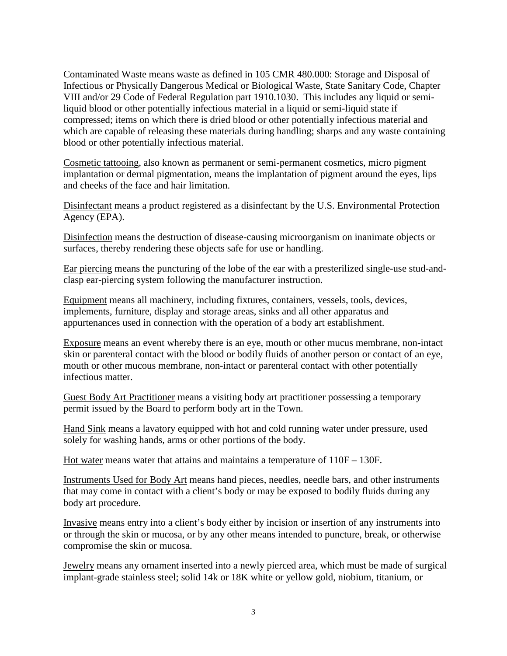Contaminated Waste means waste as defined in 105 CMR 480.000: Storage and Disposal of Infectious or Physically Dangerous Medical or Biological Waste, State Sanitary Code, Chapter VIII and/or 29 Code of Federal Regulation part 1910.1030. This includes any liquid or semiliquid blood or other potentially infectious material in a liquid or semi-liquid state if compressed; items on which there is dried blood or other potentially infectious material and which are capable of releasing these materials during handling; sharps and any waste containing blood or other potentially infectious material.

Cosmetic tattooing, also known as permanent or semi-permanent cosmetics, micro pigment implantation or dermal pigmentation, means the implantation of pigment around the eyes, lips and cheeks of the face and hair limitation.

Disinfectant means a product registered as a disinfectant by the U.S. Environmental Protection Agency (EPA).

Disinfection means the destruction of disease-causing microorganism on inanimate objects or surfaces, thereby rendering these objects safe for use or handling.

Ear piercing means the puncturing of the lobe of the ear with a presterilized single-use stud-andclasp ear-piercing system following the manufacturer instruction.

Equipment means all machinery, including fixtures, containers, vessels, tools, devices, implements, furniture, display and storage areas, sinks and all other apparatus and appurtenances used in connection with the operation of a body art establishment.

Exposure means an event whereby there is an eye, mouth or other mucus membrane, non-intact skin or parenteral contact with the blood or bodily fluids of another person or contact of an eye, mouth or other mucous membrane, non-intact or parenteral contact with other potentially infectious matter.

Guest Body Art Practitioner means a visiting body art practitioner possessing a temporary permit issued by the Board to perform body art in the Town.

Hand Sink means a lavatory equipped with hot and cold running water under pressure, used solely for washing hands, arms or other portions of the body.

Hot water means water that attains and maintains a temperature of 110F – 130F.

Instruments Used for Body Art means hand pieces, needles, needle bars, and other instruments that may come in contact with a client's body or may be exposed to bodily fluids during any body art procedure.

Invasive means entry into a client's body either by incision or insertion of any instruments into or through the skin or mucosa, or by any other means intended to puncture, break, or otherwise compromise the skin or mucosa.

Jewelry means any ornament inserted into a newly pierced area, which must be made of surgical implant-grade stainless steel; solid 14k or 18K white or yellow gold, niobium, titanium, or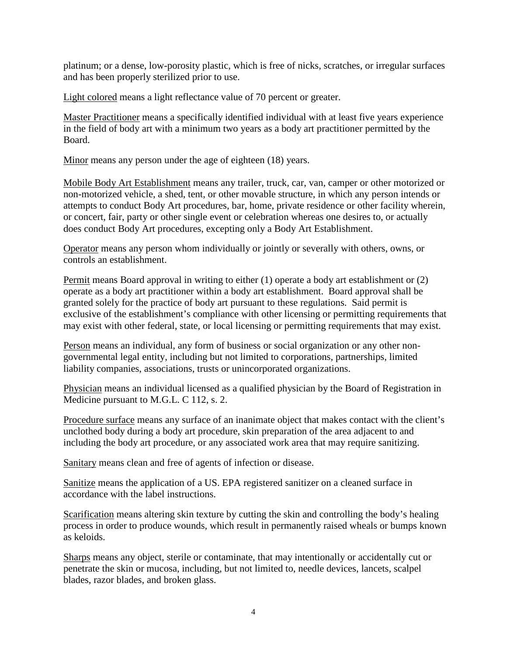platinum; or a dense, low-porosity plastic, which is free of nicks, scratches, or irregular surfaces and has been properly sterilized prior to use.

Light colored means a light reflectance value of 70 percent or greater.

Master Practitioner means a specifically identified individual with at least five years experience in the field of body art with a minimum two years as a body art practitioner permitted by the Board.

Minor means any person under the age of eighteen (18) years.

Mobile Body Art Establishment means any trailer, truck, car, van, camper or other motorized or non-motorized vehicle, a shed, tent, or other movable structure, in which any person intends or attempts to conduct Body Art procedures, bar, home, private residence or other facility wherein, or concert, fair, party or other single event or celebration whereas one desires to, or actually does conduct Body Art procedures, excepting only a Body Art Establishment.

Operator means any person whom individually or jointly or severally with others, owns, or controls an establishment.

Permit means Board approval in writing to either (1) operate a body art establishment or (2) operate as a body art practitioner within a body art establishment. Board approval shall be granted solely for the practice of body art pursuant to these regulations. Said permit is exclusive of the establishment's compliance with other licensing or permitting requirements that may exist with other federal, state, or local licensing or permitting requirements that may exist.

Person means an individual, any form of business or social organization or any other nongovernmental legal entity, including but not limited to corporations, partnerships, limited liability companies, associations, trusts or unincorporated organizations.

Physician means an individual licensed as a qualified physician by the Board of Registration in Medicine pursuant to M.G.L. C 112, s. 2.

Procedure surface means any surface of an inanimate object that makes contact with the client's unclothed body during a body art procedure, skin preparation of the area adjacent to and including the body art procedure, or any associated work area that may require sanitizing.

Sanitary means clean and free of agents of infection or disease.

Sanitize means the application of a US. EPA registered sanitizer on a cleaned surface in accordance with the label instructions.

Scarification means altering skin texture by cutting the skin and controlling the body's healing process in order to produce wounds, which result in permanently raised wheals or bumps known as keloids.

Sharps means any object, sterile or contaminate, that may intentionally or accidentally cut or penetrate the skin or mucosa, including, but not limited to, needle devices, lancets, scalpel blades, razor blades, and broken glass.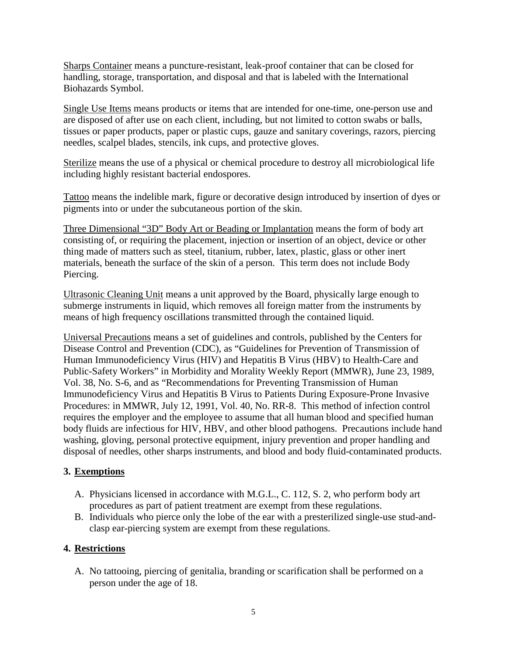Sharps Container means a puncture-resistant, leak-proof container that can be closed for handling, storage, transportation, and disposal and that is labeled with the International Biohazards Symbol.

Single Use Items means products or items that are intended for one-time, one-person use and are disposed of after use on each client, including, but not limited to cotton swabs or balls, tissues or paper products, paper or plastic cups, gauze and sanitary coverings, razors, piercing needles, scalpel blades, stencils, ink cups, and protective gloves.

Sterilize means the use of a physical or chemical procedure to destroy all microbiological life including highly resistant bacterial endospores.

Tattoo means the indelible mark, figure or decorative design introduced by insertion of dyes or pigments into or under the subcutaneous portion of the skin.

Three Dimensional "3D" Body Art or Beading or Implantation means the form of body art consisting of, or requiring the placement, injection or insertion of an object, device or other thing made of matters such as steel, titanium, rubber, latex, plastic, glass or other inert materials, beneath the surface of the skin of a person. This term does not include Body Piercing.

Ultrasonic Cleaning Unit means a unit approved by the Board, physically large enough to submerge instruments in liquid, which removes all foreign matter from the instruments by means of high frequency oscillations transmitted through the contained liquid.

Universal Precautions means a set of guidelines and controls, published by the Centers for Disease Control and Prevention (CDC), as "Guidelines for Prevention of Transmission of Human Immunodeficiency Virus (HIV) and Hepatitis B Virus (HBV) to Health-Care and Public-Safety Workers" in Morbidity and Morality Weekly Report (MMWR), June 23, 1989, Vol. 38, No. S-6, and as "Recommendations for Preventing Transmission of Human Immunodeficiency Virus and Hepatitis B Virus to Patients During Exposure-Prone Invasive Procedures: in MMWR, July 12, 1991, Vol. 40, No. RR-8. This method of infection control requires the employer and the employee to assume that all human blood and specified human body fluids are infectious for HIV, HBV, and other blood pathogens. Precautions include hand washing, gloving, personal protective equipment, injury prevention and proper handling and disposal of needles, other sharps instruments, and blood and body fluid-contaminated products.

# **3. Exemptions**

- A. Physicians licensed in accordance with M.G.L., C. 112, S. 2, who perform body art procedures as part of patient treatment are exempt from these regulations.
- B. Individuals who pierce only the lobe of the ear with a presterilized single-use stud-andclasp ear-piercing system are exempt from these regulations.

# **4. Restrictions**

A. No tattooing, piercing of genitalia, branding or scarification shall be performed on a person under the age of 18.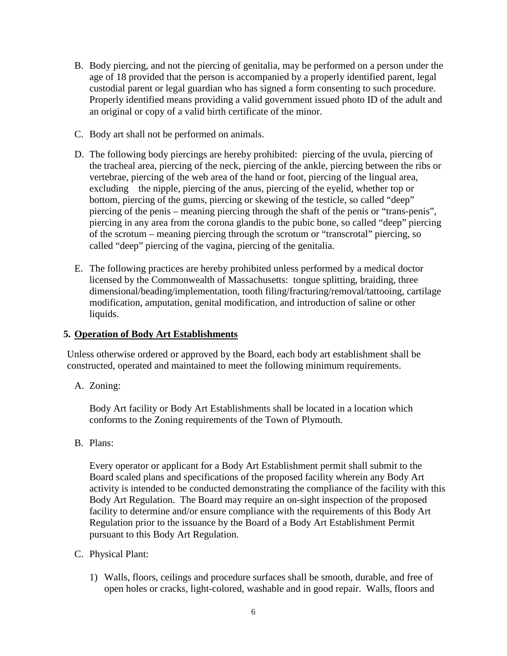- B. Body piercing, and not the piercing of genitalia, may be performed on a person under the age of 18 provided that the person is accompanied by a properly identified parent, legal custodial parent or legal guardian who has signed a form consenting to such procedure. Properly identified means providing a valid government issued photo ID of the adult and an original or copy of a valid birth certificate of the minor.
- C. Body art shall not be performed on animals.
- D. The following body piercings are hereby prohibited: piercing of the uvula, piercing of the tracheal area, piercing of the neck, piercing of the ankle, piercing between the ribs or vertebrae, piercing of the web area of the hand or foot, piercing of the lingual area, excluding the nipple, piercing of the anus, piercing of the eyelid, whether top or bottom, piercing of the gums, piercing or skewing of the testicle, so called "deep" piercing of the penis – meaning piercing through the shaft of the penis or "trans-penis", piercing in any area from the corona glandis to the pubic bone, so called "deep" piercing of the scrotum – meaning piercing through the scrotum or "transcrotal" piercing, so called "deep" piercing of the vagina, piercing of the genitalia.
- E. The following practices are hereby prohibited unless performed by a medical doctor licensed by the Commonwealth of Massachusetts: tongue splitting, braiding, three dimensional/beading/implementation, tooth filing/fracturing/removal/tattooing, cartilage modification, amputation, genital modification, and introduction of saline or other liquids.

#### **5. Operation of Body Art Establishments**

Unless otherwise ordered or approved by the Board, each body art establishment shall be constructed, operated and maintained to meet the following minimum requirements.

A. Zoning:

Body Art facility or Body Art Establishments shall be located in a location which conforms to the Zoning requirements of the Town of Plymouth.

B. Plans:

Every operator or applicant for a Body Art Establishment permit shall submit to the Board scaled plans and specifications of the proposed facility wherein any Body Art activity is intended to be conducted demonstrating the compliance of the facility with this Body Art Regulation. The Board may require an on-sight inspection of the proposed facility to determine and/or ensure compliance with the requirements of this Body Art Regulation prior to the issuance by the Board of a Body Art Establishment Permit pursuant to this Body Art Regulation.

- C. Physical Plant:
	- 1) Walls, floors, ceilings and procedure surfaces shall be smooth, durable, and free of open holes or cracks, light-colored, washable and in good repair. Walls, floors and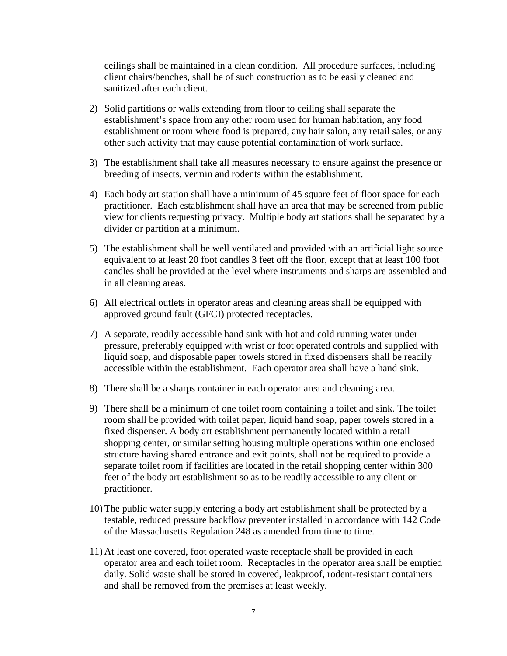ceilings shall be maintained in a clean condition. All procedure surfaces, including client chairs/benches, shall be of such construction as to be easily cleaned and sanitized after each client.

- 2) Solid partitions or walls extending from floor to ceiling shall separate the establishment's space from any other room used for human habitation, any food establishment or room where food is prepared, any hair salon, any retail sales, or any other such activity that may cause potential contamination of work surface.
- 3) The establishment shall take all measures necessary to ensure against the presence or breeding of insects, vermin and rodents within the establishment.
- 4) Each body art station shall have a minimum of 45 square feet of floor space for each practitioner. Each establishment shall have an area that may be screened from public view for clients requesting privacy. Multiple body art stations shall be separated by a divider or partition at a minimum.
- 5) The establishment shall be well ventilated and provided with an artificial light source equivalent to at least 20 foot candles 3 feet off the floor, except that at least 100 foot candles shall be provided at the level where instruments and sharps are assembled and in all cleaning areas.
- 6) All electrical outlets in operator areas and cleaning areas shall be equipped with approved ground fault (GFCI) protected receptacles.
- 7) A separate, readily accessible hand sink with hot and cold running water under pressure, preferably equipped with wrist or foot operated controls and supplied with liquid soap, and disposable paper towels stored in fixed dispensers shall be readily accessible within the establishment. Each operator area shall have a hand sink.
- 8) There shall be a sharps container in each operator area and cleaning area.
- 9) There shall be a minimum of one toilet room containing a toilet and sink. The toilet room shall be provided with toilet paper, liquid hand soap, paper towels stored in a fixed dispenser. A body art establishment permanently located within a retail shopping center, or similar setting housing multiple operations within one enclosed structure having shared entrance and exit points, shall not be required to provide a separate toilet room if facilities are located in the retail shopping center within 300 feet of the body art establishment so as to be readily accessible to any client or practitioner.
- 10) The public water supply entering a body art establishment shall be protected by a testable, reduced pressure backflow preventer installed in accordance with 142 Code of the Massachusetts Regulation 248 as amended from time to time.
- 11) At least one covered, foot operated waste receptacle shall be provided in each operator area and each toilet room. Receptacles in the operator area shall be emptied daily. Solid waste shall be stored in covered, leakproof, rodent-resistant containers and shall be removed from the premises at least weekly.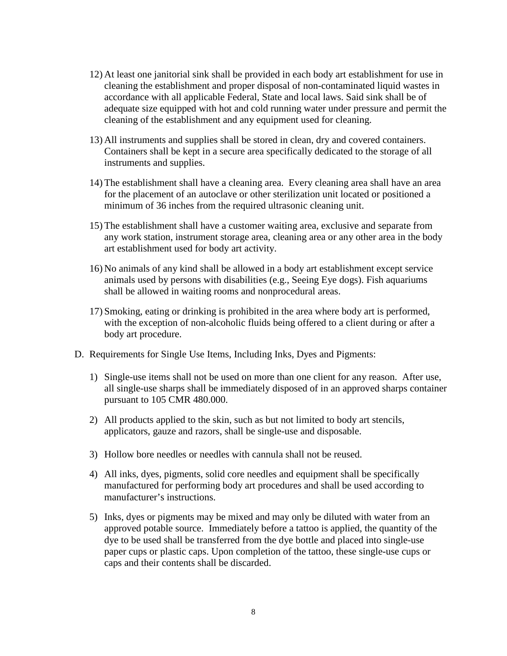- 12) At least one janitorial sink shall be provided in each body art establishment for use in cleaning the establishment and proper disposal of non-contaminated liquid wastes in accordance with all applicable Federal, State and local laws. Said sink shall be of adequate size equipped with hot and cold running water under pressure and permit the cleaning of the establishment and any equipment used for cleaning.
- 13) All instruments and supplies shall be stored in clean, dry and covered containers. Containers shall be kept in a secure area specifically dedicated to the storage of all instruments and supplies.
- 14) The establishment shall have a cleaning area. Every cleaning area shall have an area for the placement of an autoclave or other sterilization unit located or positioned a minimum of 36 inches from the required ultrasonic cleaning unit.
- 15) The establishment shall have a customer waiting area, exclusive and separate from any work station, instrument storage area, cleaning area or any other area in the body art establishment used for body art activity.
- 16) No animals of any kind shall be allowed in a body art establishment except service animals used by persons with disabilities (e.g., Seeing Eye dogs). Fish aquariums shall be allowed in waiting rooms and nonprocedural areas.
- 17) Smoking, eating or drinking is prohibited in the area where body art is performed, with the exception of non-alcoholic fluids being offered to a client during or after a body art procedure.
- D. Requirements for Single Use Items, Including Inks, Dyes and Pigments:
	- 1) Single-use items shall not be used on more than one client for any reason. After use, all single-use sharps shall be immediately disposed of in an approved sharps container pursuant to 105 CMR 480.000.
	- 2) All products applied to the skin, such as but not limited to body art stencils, applicators, gauze and razors, shall be single-use and disposable.
	- 3) Hollow bore needles or needles with cannula shall not be reused.
	- 4) All inks, dyes, pigments, solid core needles and equipment shall be specifically manufactured for performing body art procedures and shall be used according to manufacturer's instructions.
	- 5) Inks, dyes or pigments may be mixed and may only be diluted with water from an approved potable source. Immediately before a tattoo is applied, the quantity of the dye to be used shall be transferred from the dye bottle and placed into single-use paper cups or plastic caps. Upon completion of the tattoo, these single-use cups or caps and their contents shall be discarded.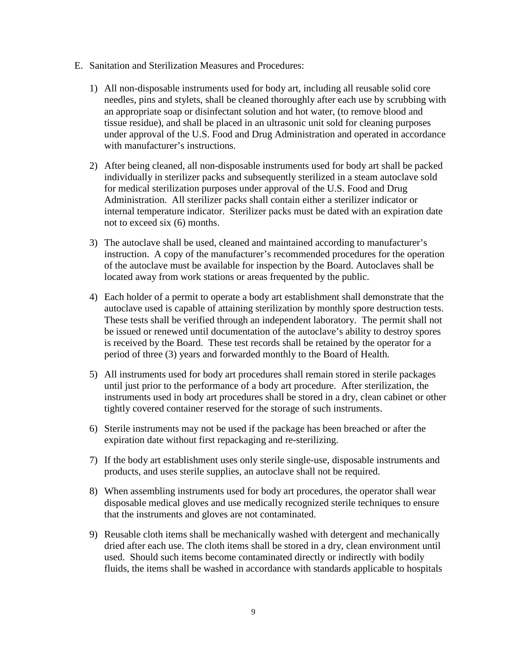- E. Sanitation and Sterilization Measures and Procedures:
	- 1) All non-disposable instruments used for body art, including all reusable solid core needles, pins and stylets, shall be cleaned thoroughly after each use by scrubbing with an appropriate soap or disinfectant solution and hot water, (to remove blood and tissue residue), and shall be placed in an ultrasonic unit sold for cleaning purposes under approval of the U.S. Food and Drug Administration and operated in accordance with manufacturer's instructions.
	- 2) After being cleaned, all non-disposable instruments used for body art shall be packed individually in sterilizer packs and subsequently sterilized in a steam autoclave sold for medical sterilization purposes under approval of the U.S. Food and Drug Administration. All sterilizer packs shall contain either a sterilizer indicator or internal temperature indicator. Sterilizer packs must be dated with an expiration date not to exceed six (6) months.
	- 3) The autoclave shall be used, cleaned and maintained according to manufacturer's instruction. A copy of the manufacturer's recommended procedures for the operation of the autoclave must be available for inspection by the Board. Autoclaves shall be located away from work stations or areas frequented by the public.
	- 4) Each holder of a permit to operate a body art establishment shall demonstrate that the autoclave used is capable of attaining sterilization by monthly spore destruction tests. These tests shall be verified through an independent laboratory. The permit shall not be issued or renewed until documentation of the autoclave's ability to destroy spores is received by the Board. These test records shall be retained by the operator for a period of three (3) years and forwarded monthly to the Board of Health.
	- 5) All instruments used for body art procedures shall remain stored in sterile packages until just prior to the performance of a body art procedure. After sterilization, the instruments used in body art procedures shall be stored in a dry, clean cabinet or other tightly covered container reserved for the storage of such instruments.
	- 6) Sterile instruments may not be used if the package has been breached or after the expiration date without first repackaging and re-sterilizing.
	- 7) If the body art establishment uses only sterile single-use, disposable instruments and products, and uses sterile supplies, an autoclave shall not be required.
	- 8) When assembling instruments used for body art procedures, the operator shall wear disposable medical gloves and use medically recognized sterile techniques to ensure that the instruments and gloves are not contaminated.
	- 9) Reusable cloth items shall be mechanically washed with detergent and mechanically dried after each use. The cloth items shall be stored in a dry, clean environment until used. Should such items become contaminated directly or indirectly with bodily fluids, the items shall be washed in accordance with standards applicable to hospitals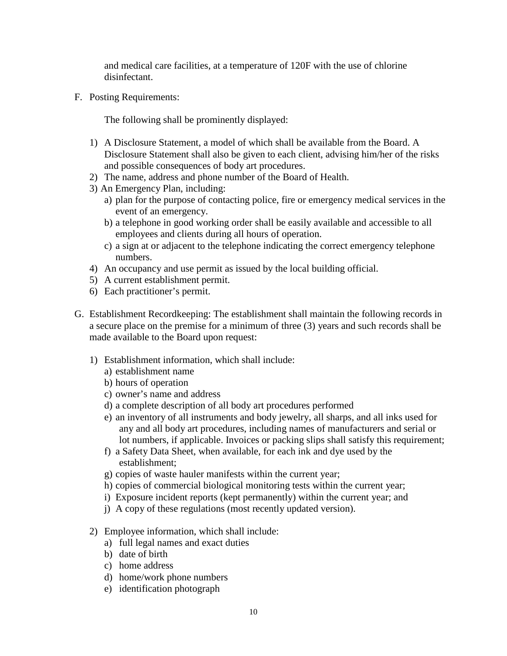and medical care facilities, at a temperature of 120F with the use of chlorine disinfectant.

F. Posting Requirements:

The following shall be prominently displayed:

- 1) A Disclosure Statement, a model of which shall be available from the Board. A Disclosure Statement shall also be given to each client, advising him/her of the risks and possible consequences of body art procedures.
- 2) The name, address and phone number of the Board of Health.
- 3) An Emergency Plan, including:
	- a) plan for the purpose of contacting police, fire or emergency medical services in the event of an emergency.
	- b) a telephone in good working order shall be easily available and accessible to all employees and clients during all hours of operation.
	- c) a sign at or adjacent to the telephone indicating the correct emergency telephone numbers.
- 4) An occupancy and use permit as issued by the local building official.
- 5) A current establishment permit.
- 6) Each practitioner's permit.
- G. Establishment Recordkeeping: The establishment shall maintain the following records in a secure place on the premise for a minimum of three (3) years and such records shall be made available to the Board upon request:
	- 1) Establishment information, which shall include:
		- a) establishment name
		- b) hours of operation
		- c) owner's name and address
		- d) a complete description of all body art procedures performed
		- e) an inventory of all instruments and body jewelry, all sharps, and all inks used for any and all body art procedures, including names of manufacturers and serial or lot numbers, if applicable. Invoices or packing slips shall satisfy this requirement;
		- f) a Safety Data Sheet, when available, for each ink and dye used by the establishment;
		- g) copies of waste hauler manifests within the current year;
		- h) copies of commercial biological monitoring tests within the current year;
		- i) Exposure incident reports (kept permanently) within the current year; and
		- j) A copy of these regulations (most recently updated version).
	- 2) Employee information, which shall include:
		- a) full legal names and exact duties
		- b) date of birth
		- c) home address
		- d) home/work phone numbers
		- e) identification photograph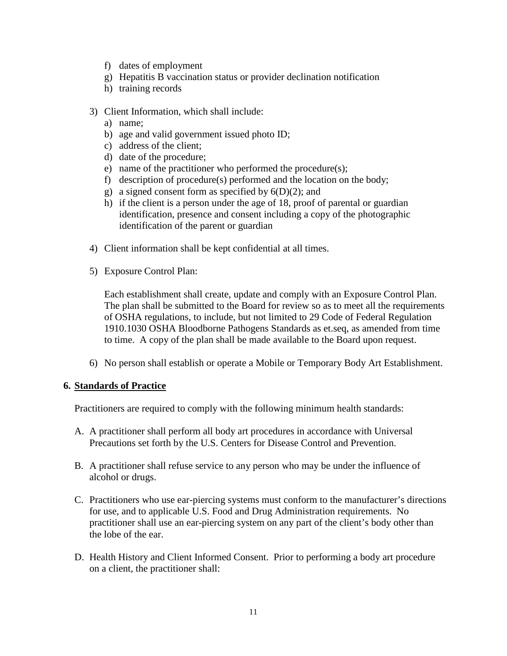- f) dates of employment
- g) Hepatitis B vaccination status or provider declination notification
- h) training records
- 3) Client Information, which shall include:
	- a) name;
	- b) age and valid government issued photo ID;
	- c) address of the client;
	- d) date of the procedure;
	- e) name of the practitioner who performed the procedure(s);
	- f) description of procedure(s) performed and the location on the body;
	- g) a signed consent form as specified by  $6(D)(2)$ ; and
	- h) if the client is a person under the age of 18, proof of parental or guardian identification, presence and consent including a copy of the photographic identification of the parent or guardian
- 4) Client information shall be kept confidential at all times.
- 5) Exposure Control Plan:

Each establishment shall create, update and comply with an Exposure Control Plan. The plan shall be submitted to the Board for review so as to meet all the requirements of OSHA regulations, to include, but not limited to 29 Code of Federal Regulation 1910.1030 OSHA Bloodborne Pathogens Standards as et.seq, as amended from time to time. A copy of the plan shall be made available to the Board upon request.

6) No person shall establish or operate a Mobile or Temporary Body Art Establishment.

#### **6. Standards of Practice**

Practitioners are required to comply with the following minimum health standards:

- A. A practitioner shall perform all body art procedures in accordance with Universal Precautions set forth by the U.S. Centers for Disease Control and Prevention.
- B. A practitioner shall refuse service to any person who may be under the influence of alcohol or drugs.
- C. Practitioners who use ear-piercing systems must conform to the manufacturer's directions for use, and to applicable U.S. Food and Drug Administration requirements. No practitioner shall use an ear-piercing system on any part of the client's body other than the lobe of the ear.
- D. Health History and Client Informed Consent. Prior to performing a body art procedure on a client, the practitioner shall: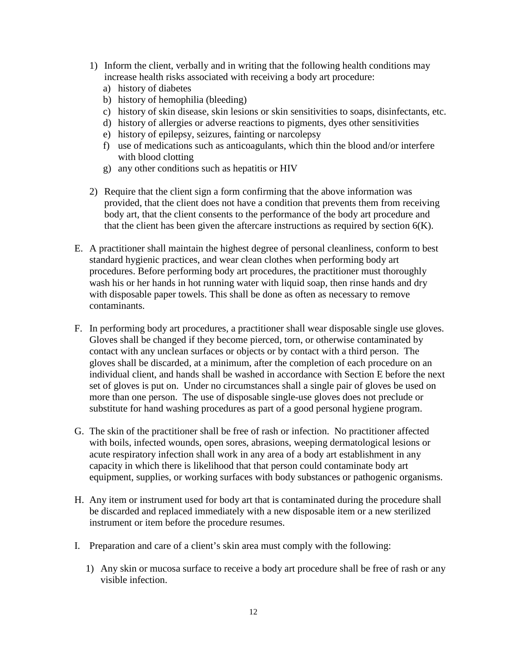- 1) Inform the client, verbally and in writing that the following health conditions may increase health risks associated with receiving a body art procedure:
	- a) history of diabetes
	- b) history of hemophilia (bleeding)
	- c) history of skin disease, skin lesions or skin sensitivities to soaps, disinfectants, etc.
	- d) history of allergies or adverse reactions to pigments, dyes other sensitivities
	- e) history of epilepsy, seizures, fainting or narcolepsy
	- f) use of medications such as anticoagulants, which thin the blood and/or interfere with blood clotting
	- g) any other conditions such as hepatitis or HIV
- 2) Require that the client sign a form confirming that the above information was provided, that the client does not have a condition that prevents them from receiving body art, that the client consents to the performance of the body art procedure and that the client has been given the aftercare instructions as required by section  $6(K)$ .
- E. A practitioner shall maintain the highest degree of personal cleanliness, conform to best standard hygienic practices, and wear clean clothes when performing body art procedures. Before performing body art procedures, the practitioner must thoroughly wash his or her hands in hot running water with liquid soap, then rinse hands and dry with disposable paper towels. This shall be done as often as necessary to remove contaminants.
- F. In performing body art procedures, a practitioner shall wear disposable single use gloves. Gloves shall be changed if they become pierced, torn, or otherwise contaminated by contact with any unclean surfaces or objects or by contact with a third person. The gloves shall be discarded, at a minimum, after the completion of each procedure on an individual client, and hands shall be washed in accordance with Section E before the next set of gloves is put on. Under no circumstances shall a single pair of gloves be used on more than one person. The use of disposable single-use gloves does not preclude or substitute for hand washing procedures as part of a good personal hygiene program.
- G. The skin of the practitioner shall be free of rash or infection. No practitioner affected with boils, infected wounds, open sores, abrasions, weeping dermatological lesions or acute respiratory infection shall work in any area of a body art establishment in any capacity in which there is likelihood that that person could contaminate body art equipment, supplies, or working surfaces with body substances or pathogenic organisms.
- H. Any item or instrument used for body art that is contaminated during the procedure shall be discarded and replaced immediately with a new disposable item or a new sterilized instrument or item before the procedure resumes.
- I. Preparation and care of a client's skin area must comply with the following:
	- 1) Any skin or mucosa surface to receive a body art procedure shall be free of rash or any visible infection.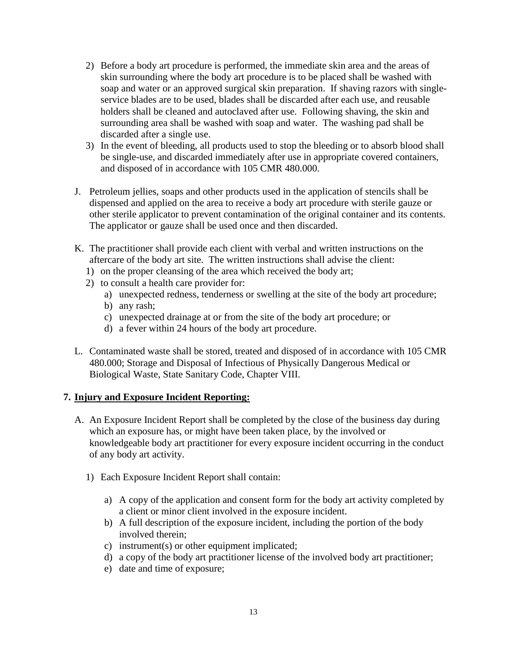- 2) Before a body art procedure is performed, the immediate skin area and the areas of skin surrounding where the body art procedure is to be placed shall be washed with soap and water or an approved surgical skin preparation. If shaving razors with singleservice blades are to be used, blades shall be discarded after each use, and reusable holders shall be cleaned and autoclaved after use. Following shaving, the skin and surrounding area shall be washed with soap and water. The washing pad shall be discarded after a single use.
- 3) In the event of bleeding, all products used to stop the bleeding or to absorb blood shall be single-use, and discarded immediately after use in appropriate covered containers, and disposed of in accordance with 105 CMR 480.000.
- J. Petroleum jellies, soaps and other products used in the application of stencils shall be dispensed and applied on the area to receive a body art procedure with sterile gauze or other sterile applicator to prevent contamination of the original container and its contents. The applicator or gauze shall be used once and then discarded.
- K. The practitioner shall provide each client with verbal and written instructions on the aftercare of the body art site. The written instructions shall advise the client:
	- 1) on the proper cleansing of the area which received the body art;
	- 2) to consult a health care provider for:
		- a) unexpected redness, tenderness or swelling at the site of the body art procedure;
		- b) any rash;
		- c) unexpected drainage at or from the site of the body art procedure; or
		- d) a fever within 24 hours of the body art procedure.
- L. Contaminated waste shall be stored, treated and disposed of in accordance with 105 CMR 480.000; Storage and Disposal of Infectious of Physically Dangerous Medical or Biological Waste, State Sanitary Code, Chapter VIII.

#### **7. Injury and Exposure Incident Reporting:**

- A. An Exposure Incident Report shall be completed by the close of the business day during which an exposure has, or might have been taken place, by the involved or knowledgeable body art practitioner for every exposure incident occurring in the conduct of any body art activity.
	- 1) Each Exposure Incident Report shall contain:
		- a) A copy of the application and consent form for the body art activity completed by a client or minor client involved in the exposure incident.
		- b) A full description of the exposure incident, including the portion of the body involved therein;
		- c) instrument(s) or other equipment implicated;
		- d) a copy of the body art practitioner license of the involved body art practitioner;
		- e) date and time of exposure;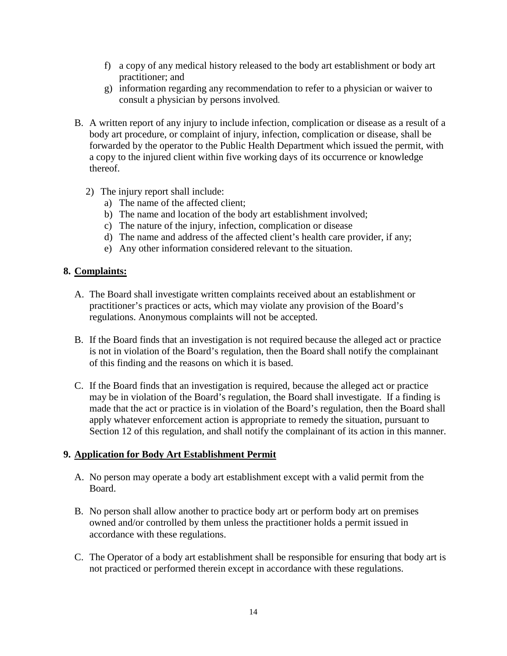- f) a copy of any medical history released to the body art establishment or body art practitioner; and
- g) information regarding any recommendation to refer to a physician or waiver to consult a physician by persons involved.
- B. A written report of any injury to include infection, complication or disease as a result of a body art procedure, or complaint of injury, infection, complication or disease, shall be forwarded by the operator to the Public Health Department which issued the permit, with a copy to the injured client within five working days of its occurrence or knowledge thereof.
	- 2) The injury report shall include:
		- a) The name of the affected client;
		- b) The name and location of the body art establishment involved;
		- c) The nature of the injury, infection, complication or disease
		- d) The name and address of the affected client's health care provider, if any;
		- e) Any other information considered relevant to the situation.

## **8. Complaints:**

- A. The Board shall investigate written complaints received about an establishment or practitioner's practices or acts, which may violate any provision of the Board's regulations. Anonymous complaints will not be accepted.
- B. If the Board finds that an investigation is not required because the alleged act or practice is not in violation of the Board's regulation, then the Board shall notify the complainant of this finding and the reasons on which it is based.
- C. If the Board finds that an investigation is required, because the alleged act or practice may be in violation of the Board's regulation, the Board shall investigate. If a finding is made that the act or practice is in violation of the Board's regulation, then the Board shall apply whatever enforcement action is appropriate to remedy the situation, pursuant to Section 12 of this regulation, and shall notify the complainant of its action in this manner.

# **9. Application for Body Art Establishment Permit**

- A. No person may operate a body art establishment except with a valid permit from the Board.
- B. No person shall allow another to practice body art or perform body art on premises owned and/or controlled by them unless the practitioner holds a permit issued in accordance with these regulations.
- C. The Operator of a body art establishment shall be responsible for ensuring that body art is not practiced or performed therein except in accordance with these regulations.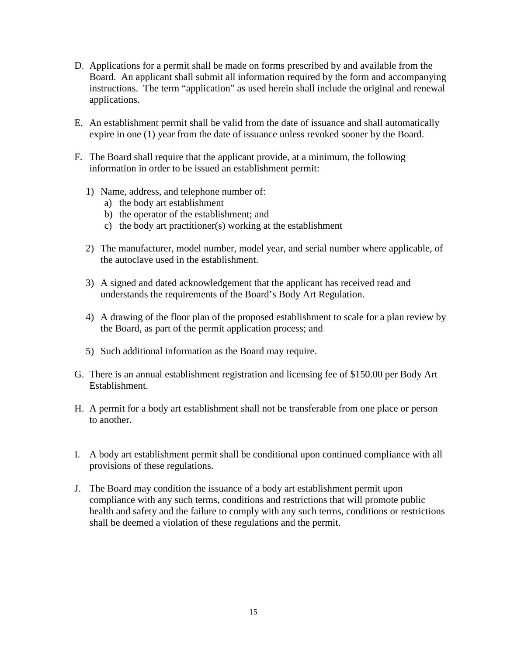- D. Applications for a permit shall be made on forms prescribed by and available from the Board. An applicant shall submit all information required by the form and accompanying instructions. The term "application" as used herein shall include the original and renewal applications.
- E. An establishment permit shall be valid from the date of issuance and shall automatically expire in one (1) year from the date of issuance unless revoked sooner by the Board.
- F. The Board shall require that the applicant provide, at a minimum, the following information in order to be issued an establishment permit:
	- 1) Name, address, and telephone number of:
		- a) the body art establishment
		- b) the operator of the establishment; and
		- c) the body art practitioner(s) working at the establishment
	- 2) The manufacturer, model number, model year, and serial number where applicable, of the autoclave used in the establishment.
	- 3) A signed and dated acknowledgement that the applicant has received read and understands the requirements of the Board's Body Art Regulation.
	- 4) A drawing of the floor plan of the proposed establishment to scale for a plan review by the Board, as part of the permit application process; and
	- 5) Such additional information as the Board may require.
- G. There is an annual establishment registration and licensing fee of \$150.00 per Body Art Establishment.
- H. A permit for a body art establishment shall not be transferable from one place or person to another.
- I. A body art establishment permit shall be conditional upon continued compliance with all provisions of these regulations.
- J. The Board may condition the issuance of a body art establishment permit upon compliance with any such terms, conditions and restrictions that will promote public health and safety and the failure to comply with any such terms, conditions or restrictions shall be deemed a violation of these regulations and the permit.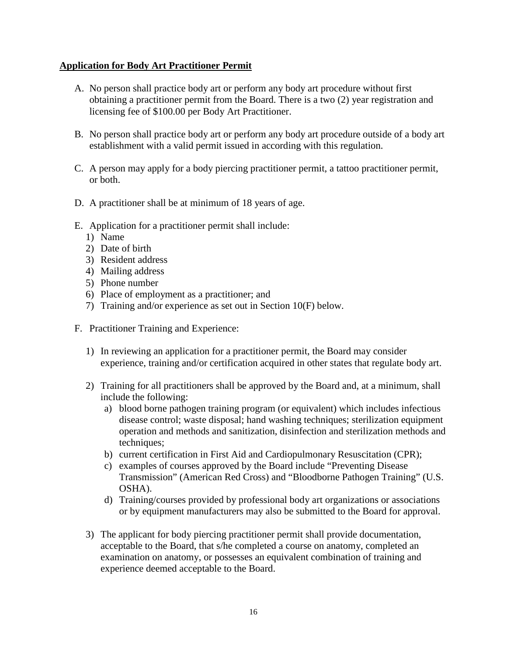## **Application for Body Art Practitioner Permit**

- A. No person shall practice body art or perform any body art procedure without first obtaining a practitioner permit from the Board. There is a two (2) year registration and licensing fee of \$100.00 per Body Art Practitioner.
- B. No person shall practice body art or perform any body art procedure outside of a body art establishment with a valid permit issued in according with this regulation.
- C. A person may apply for a body piercing practitioner permit, a tattoo practitioner permit, or both.
- D. A practitioner shall be at minimum of 18 years of age.
- E. Application for a practitioner permit shall include:
	- 1) Name
	- 2) Date of birth
	- 3) Resident address
	- 4) Mailing address
	- 5) Phone number
	- 6) Place of employment as a practitioner; and
	- 7) Training and/or experience as set out in Section 10(F) below.
- F. Practitioner Training and Experience:
	- 1) In reviewing an application for a practitioner permit, the Board may consider experience, training and/or certification acquired in other states that regulate body art.
	- 2) Training for all practitioners shall be approved by the Board and, at a minimum, shall include the following:
		- a) blood borne pathogen training program (or equivalent) which includes infectious disease control; waste disposal; hand washing techniques; sterilization equipment operation and methods and sanitization, disinfection and sterilization methods and techniques:
		- b) current certification in First Aid and Cardiopulmonary Resuscitation (CPR);
		- c) examples of courses approved by the Board include "Preventing Disease Transmission" (American Red Cross) and "Bloodborne Pathogen Training" (U.S. OSHA).
		- d) Training/courses provided by professional body art organizations or associations or by equipment manufacturers may also be submitted to the Board for approval.
	- 3) The applicant for body piercing practitioner permit shall provide documentation, acceptable to the Board, that s/he completed a course on anatomy, completed an examination on anatomy, or possesses an equivalent combination of training and experience deemed acceptable to the Board.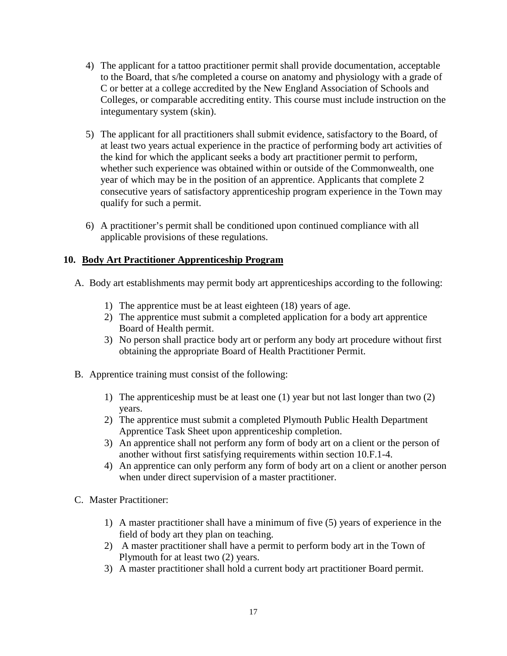- 4) The applicant for a tattoo practitioner permit shall provide documentation, acceptable to the Board, that s/he completed a course on anatomy and physiology with a grade of C or better at a college accredited by the New England Association of Schools and Colleges, or comparable accrediting entity. This course must include instruction on the integumentary system (skin).
- 5) The applicant for all practitioners shall submit evidence, satisfactory to the Board, of at least two years actual experience in the practice of performing body art activities of the kind for which the applicant seeks a body art practitioner permit to perform, whether such experience was obtained within or outside of the Commonwealth, one year of which may be in the position of an apprentice. Applicants that complete 2 consecutive years of satisfactory apprenticeship program experience in the Town may qualify for such a permit.
- 6) A practitioner's permit shall be conditioned upon continued compliance with all applicable provisions of these regulations.

# **10. Body Art Practitioner Apprenticeship Program**

- A. Body art establishments may permit body art apprenticeships according to the following:
	- 1) The apprentice must be at least eighteen (18) years of age.
	- 2) The apprentice must submit a completed application for a body art apprentice Board of Health permit.
	- 3) No person shall practice body art or perform any body art procedure without first obtaining the appropriate Board of Health Practitioner Permit.
- B. Apprentice training must consist of the following:
	- 1) The apprenticeship must be at least one (1) year but not last longer than two (2) years.
	- 2) The apprentice must submit a completed Plymouth Public Health Department Apprentice Task Sheet upon apprenticeship completion.
	- 3) An apprentice shall not perform any form of body art on a client or the person of another without first satisfying requirements within section 10.F.1-4.
	- 4) An apprentice can only perform any form of body art on a client or another person when under direct supervision of a master practitioner.
- C. Master Practitioner:
	- 1) A master practitioner shall have a minimum of five (5) years of experience in the field of body art they plan on teaching.
	- 2) A master practitioner shall have a permit to perform body art in the Town of Plymouth for at least two (2) years.
	- 3) A master practitioner shall hold a current body art practitioner Board permit.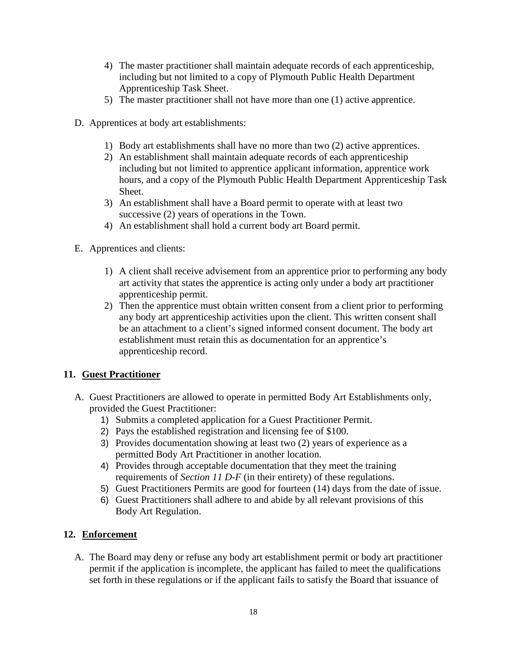- 4) The master practitioner shall maintain adequate records of each apprenticeship, including but not limited to a copy of Plymouth Public Health Department Apprenticeship Task Sheet.
- 5) The master practitioner shall not have more than one (1) active apprentice.
- D. Apprentices at body art establishments:
	- 1) Body art establishments shall have no more than two (2) active apprentices.
	- 2) An establishment shall maintain adequate records of each apprenticeship including but not limited to apprentice applicant information, apprentice work hours, and a copy of the Plymouth Public Health Department Apprenticeship Task Sheet.
	- 3) An establishment shall have a Board permit to operate with at least two successive (2) years of operations in the Town.
	- 4) An establishment shall hold a current body art Board permit.
- E. Apprentices and clients:
	- 1) A client shall receive advisement from an apprentice prior to performing any body art activity that states the apprentice is acting only under a body art practitioner apprenticeship permit.
	- 2) Then the apprentice must obtain written consent from a client prior to performing any body art apprenticeship activities upon the client. This written consent shall be an attachment to a client's signed informed consent document. The body art establishment must retain this as documentation for an apprentice's apprenticeship record.

# **11. Guest Practitioner**

- A. Guest Practitioners are allowed to operate in permitted Body Art Establishments only, provided the Guest Practitioner:
	- 1) Submits a completed application for a Guest Practitioner Permit.
	- 2) Pays the established registration and licensing fee of \$100.
	- 3) Provides documentation showing at least two (2) years of experience as a permitted Body Art Practitioner in another location.
	- 4) Provides through acceptable documentation that they meet the training requirements of *Section 11 D-F* (in their entirety) of these regulations.
	- 5) Guest Practitioners Permits are good for fourteen (14) days from the date of issue.
	- 6) Guest Practitioners shall adhere to and abide by all relevant provisions of this Body Art Regulation.

# **12. Enforcement**

A. The Board may deny or refuse any body art establishment permit or body art practitioner permit if the application is incomplete, the applicant has failed to meet the qualifications set forth in these regulations or if the applicant fails to satisfy the Board that issuance of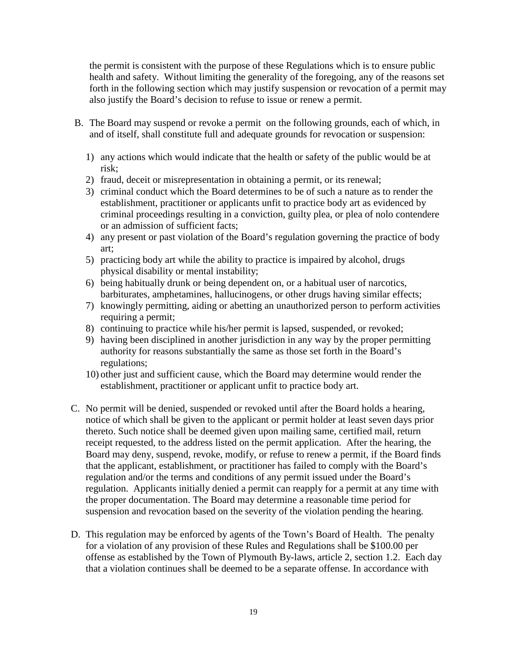the permit is consistent with the purpose of these Regulations which is to ensure public health and safety. Without limiting the generality of the foregoing, any of the reasons set forth in the following section which may justify suspension or revocation of a permit may also justify the Board's decision to refuse to issue or renew a permit.

- B. The Board may suspend or revoke a permit on the following grounds, each of which, in and of itself, shall constitute full and adequate grounds for revocation or suspension:
	- 1) any actions which would indicate that the health or safety of the public would be at risk;
	- 2) fraud, deceit or misrepresentation in obtaining a permit, or its renewal;
	- 3) criminal conduct which the Board determines to be of such a nature as to render the establishment, practitioner or applicants unfit to practice body art as evidenced by criminal proceedings resulting in a conviction, guilty plea, or plea of nolo contendere or an admission of sufficient facts;
	- 4) any present or past violation of the Board's regulation governing the practice of body art;
	- 5) practicing body art while the ability to practice is impaired by alcohol, drugs physical disability or mental instability;
	- 6) being habitually drunk or being dependent on, or a habitual user of narcotics, barbiturates, amphetamines, hallucinogens, or other drugs having similar effects;
	- 7) knowingly permitting, aiding or abetting an unauthorized person to perform activities requiring a permit;
	- 8) continuing to practice while his/her permit is lapsed, suspended, or revoked;
	- 9) having been disciplined in another jurisdiction in any way by the proper permitting authority for reasons substantially the same as those set forth in the Board's regulations;
	- 10) other just and sufficient cause, which the Board may determine would render the establishment, practitioner or applicant unfit to practice body art.
- C. No permit will be denied, suspended or revoked until after the Board holds a hearing, notice of which shall be given to the applicant or permit holder at least seven days prior thereto. Such notice shall be deemed given upon mailing same, certified mail, return receipt requested, to the address listed on the permit application. After the hearing, the Board may deny, suspend, revoke, modify, or refuse to renew a permit, if the Board finds that the applicant, establishment, or practitioner has failed to comply with the Board's regulation and/or the terms and conditions of any permit issued under the Board's regulation. Applicants initially denied a permit can reapply for a permit at any time with the proper documentation. The Board may determine a reasonable time period for suspension and revocation based on the severity of the violation pending the hearing.
- D. This regulation may be enforced by agents of the Town's Board of Health. The penalty for a violation of any provision of these Rules and Regulations shall be \$100.00 per offense as established by the Town of Plymouth By-laws, article 2, section 1.2. Each day that a violation continues shall be deemed to be a separate offense. In accordance with